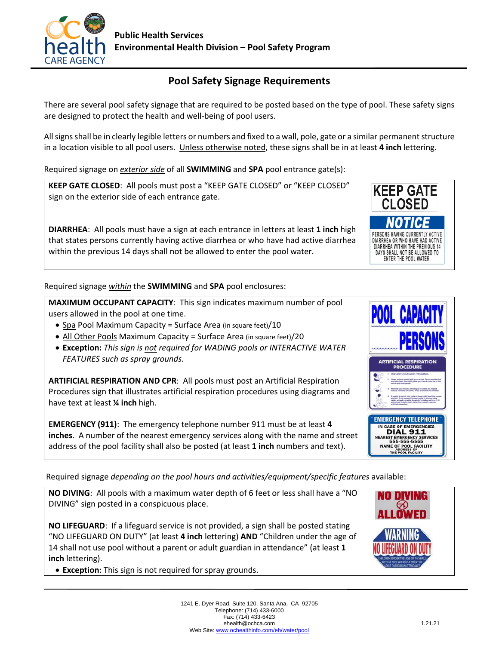

## **Pool Safety Signage Requirements**

There are several pool safety signage that are required to be posted based on the type of pool. These safety signs are designed to protect the health and well-being of pool users.

All signs shall be in clearly legible letters or numbers and fixed to a wall, pole, gate or a similar permanent structure in a location visible to all pool users. Unless otherwise noted, these signs shall be in at least **4 inch** lettering.

Required signage on *exterior side* of all **SWIMMING** and **SPA** pool entrance gate(s):

**KEEP GATE CLOSED**: All pools must post a "KEEP GATE CLOSED" or "KEEP CLOSED" sign on the exterior side of each entrance gate.

**DIARRHEA**:All pools must have a sign at each entrance in letters at least **1 inch** high that states persons currently having active diarrhea or who have had active diarrhea within the previous 14 days shall not be allowed to enter the pool water.

Required signage *within* the **SWIMMING** and **SPA** pool enclosures:

**MAXIMUM OCCUPANT CAPACITY**: This sign indicates maximum number of pool users allowed in the pool at one time.

- Spa Pool Maximum Capacity = Surface Area (in square feet)/10
- All Other Pools Maximum Capacity = Surface Area (in square feet)/20
- **Exception:** *This sign is not required for WADING pools or INTERACTIVE WATER FEATURES such as spray grounds.*

**ARTIFICIAL RESPIRATION AND CPR**: All pools must post an Artificial Respiration Procedures sign that illustrates artificial respiration procedures using diagrams and have text at least **¼ inch** high.

**EMERGENCY (911)**: The emergency telephone number 911 must be at least **4 inches**. A number of the nearest emergency services along with the name and street address of the pool facility shall also be posted (at least **1 inch** numbers and text).

Required signage *depending on the pool hours and activities/equipment/specific features* available:

**NO DIVING**: All pools with a maximum water depth of 6 feet or less shall have a "NO DIVING" sign posted in a conspicuous place.

**NO LIFEGUARD**: If a lifeguard service is not provided, a sign shall be posted stating "NO LIFEGUARD ON DUTY" (at least **4 inch** lettering) **AND** "Children under the age of 14 shall not use pool without a parent or adult guardian in attendance" (at least **1 inch** lettering).

• **Exception**: This sign is not required for spray grounds.



**DIAL 911** NEAREST EMERGENCY SI<br>555-555-5555 NAME OF POOL FACILITY



**KEEP GATE CLOSED** 

NOTIC PERSONS HAVING CURRENTLY ACTIVE DIARRHEA OR WHO HAVE HAD ACTIVE DIARRHEA WITHIN THE PREVIOUS 14 DAYS SHALL NOT BE ALLOWED TO ENTER THE POOL WATER.